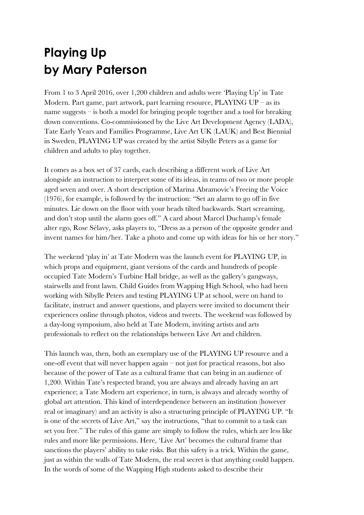## **Playing Up by Mary Paterson**

From 1 to 3 April 2016, over 1,200 children and adults were 'Playing Up' in Tate Modern. Part game, part artwork, part learning resource,  $PLAYING UP - as$  its name suggests – is both a model for bringing people together and a tool for breaking down conventions. Co-commissioned by the Live Art Development Agency (LADA), Tate Early Years and Families Programme, Live Art UK (LAUK) and Best Biennial in Sweden, PLAYING UP was created by the artist Sibylle Peters as a game for children and adults to play together.

It comes as a box set of 37 cards, each describing a different work of Live Art alongside an instruction to interpret some of its ideas, in teams of two or more people aged seven and over. A short description of Marina Abramovic's Freeing the Voice (1976), for example, is followed by the instruction: "Set an alarm to go off in five minutes. Lie down on the floor with your heads tilted backwards. Start screaming, and don't stop until the alarm goes off." A card about Marcel Duchamp's female alter ego, Rose Sélavy, asks players to, "Dress as a person of the opposite gender and invent names for him/her. Take a photo and come up with ideas for his or her story."

The weekend 'play in' at Tate Modern was the launch event for PLAYING UP, in which props and equipment, giant versions of the cards and hundreds of people occupied Tate Modern's Turbine Hall bridge, as well as the gallery's gangways, stairwells and front lawn. Child Guides from Wapping High School, who had been working with Sibylle Peters and testing PLAYING UP at school, were on hand to facilitate, instruct and answer questions, and players were invited to document their experiences online through photos, videos and tweets. The weekend was followed by a day-long symposium, also held at Tate Modern, inviting artists and arts professionals to reflect on the relationships between Live Art and children.

This launch was, then, both an exemplary use of the PLAYING UP resource and a one-off event that will never happen again – not just for practical reasons, but also because of the power of Tate as a cultural frame that can bring in an audience of 1,200. Within Tate's respected brand, you are always and already having an art experience; a Tate Modern art experience, in turn, is always and already worthy of global art attention. This kind of interdependence between an institution (however real or imaginary) and an activity is also a structuring principle of PLAYING UP. "It is one of the secrets of Live Art," say the instructions, "that to commit to a task can set you free." The rules of this game are simply to follow the rules, which are less like rules and more like permissions. Here, 'Live Art' becomes the cultural frame that sanctions the players' ability to take risks. But this safety is a trick. Within the game, just as within the walls of Tate Modern, the real secret is that anything could happen. In the words of some of the Wapping High students asked to describe their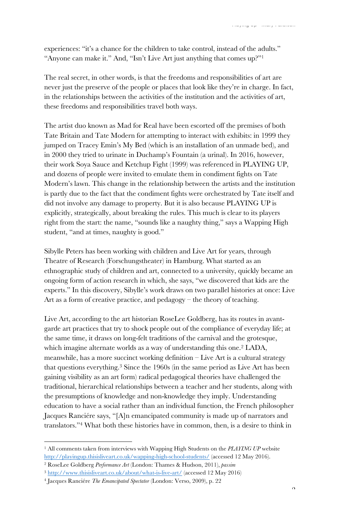experiences: "it's a chance for the children to take control, instead of the adults." "Anyone can make it." And, "Isn't Live Art just anything that comes up?"1

The real secret, in other words, is that the freedoms and responsibilities of art are never just the preserve of the people or places that look like they're in charge. In fact, in the relationships between the activities of the institution and the activities of art, these freedoms and responsibilities travel both ways.

The artist duo known as Mad for Real have been escorted off the premises of both Tate Britain and Tate Modern for attempting to interact with exhibits: in 1999 they jumped on Tracey Emin's My Bed (which is an installation of an unmade bed), and in 2000 they tried to urinate in Duchamp's Fountain (a urinal). In 2016, however, their work Soya Sauce and Ketchup Fight (1999) was referenced in PLAYING UP, and dozens of people were invited to emulate them in condiment fights on Tate Modern's lawn. This change in the relationship between the artists and the institution is partly due to the fact that the condiment fights were orchestrated by Tate itself and did not involve any damage to property. But it is also because PLAYING UP is explicitly, strategically, about breaking the rules. This much is clear to its players right from the start: the name, "sounds like a naughty thing," says a Wapping High student, "and at times, naughty is good."

Sibylle Peters has been working with children and Live Art for years, through Theatre of Research (Forschungstheater) in Hamburg. What started as an ethnographic study of children and art, connected to a university, quickly became an ongoing form of action research in which, she says, "we discovered that kids are the experts." In this discovery, Sibylle's work draws on two parallel histories at once: Live Art as a form of creative practice, and pedagogy – the theory of teaching.

Live Art, according to the art historian RoseLee Goldberg, has its routes in avantgarde art practices that try to shock people out of the compliance of everyday life; at the same time, it draws on long-felt traditions of the carnival and the grotesque, which imagine alternate worlds as a way of understanding this one.2 LADA, meanwhile, has a more succinct working definition – Live Art is a cultural strategy that questions everything.3 Since the 1960s (in the same period as Live Art has been gaining visibility as an art form) radical pedagogical theories have challenged the traditional, hierarchical relationships between a teacher and her students, along with the presumptions of knowledge and non-knowledge they imply. Understanding education to have a social rather than an individual function, the French philosopher Jacques Ranciére says, "[A]n emancipated community is made up of narrators and translators."4 What both these histories have in common, then, is a desire to think in

<sup>1</sup> All comments taken from interviews with Wapping High Students on the *PLAYING UP* website http://playingup.thisisliveart.co.uk/wapping-high-school-students/ (accessed 12 May 2016).

<sup>2</sup> RoseLee Goldberg *Performance Art* (London: Thames & Hudson, 2011), *passim*

<sup>3</sup> http://www.thisisliveart.co.uk/about/what-is-live-art/ (accessed 12 May 2016)

<sup>4</sup> Jacques Ranciére *The Emancipated Spectator* (London: Verso, 2009), p. 22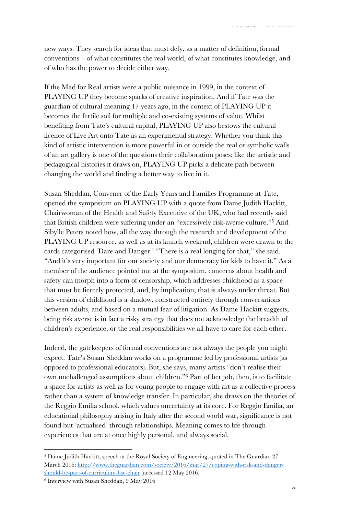new ways. They search for ideas that must defy, as a matter of definition, formal conventions – of what constitutes the real world, of what constitutes knowledge, and of who has the power to decide either way.

If the Mad for Real artists were a public nuisance in 1999, in the context of PLAYING UP they become sparks of creative inspiration. And if Tate was the guardian of cultural meaning 17 years ago, in the context of PLAYING UP it becomes the fertile soil for multiple and co-existing systems of value. Whilst benefiting from Tate's cultural capital, PLAYING UP also bestows the cultural licence of Live Art onto Tate as an experimental strategy. Whether you think this kind of artistic intervention is more powerful in or outside the real or symbolic walls of an art gallery is one of the questions their collaboration poses: like the artistic and pedagogical histories it draws on, PLAYING UP picks a delicate path between changing the world and finding a better way to live in it.

Susan Sheddan, Convener of the Early Years and Families Programme at Tate, opened the symposium on PLAYING UP with a quote from Dame Judith Hackitt, Chairwoman of the Health and Safety Executive of the UK, who had recently said that British children were suffering under an "excessively risk-averse culture."5 And Sibylle Peters noted how, all the way through the research and development of the PLAYING UP resource, as well as at its launch weekend, children were drawn to the cards categorised 'Dare and Danger.' "There is a real longing for that," she said. "And it's very important for our society and our democracy for kids to have it." As a member of the audience pointed out at the symposium, concerns about health and safety can morph into a form of censorship, which addresses childhood as a space that must be fiercely protected, and, by implication, that is always under threat. But this version of childhood is a shadow, constructed entirely through conversations between adults, and based on a mutual fear of litigation. As Dame Hackitt suggests, being risk averse is in fact a risky strategy that does not acknowledge the breadth of children's experience, or the real responsibilities we all have to care for each other.

Indeed, the gatekeepers of formal conventions are not always the people you might expect. Tate's Susan Sheddan works on a programme led by professional artists (as opposed to professional educators). But, she says, many artists "don't realise their own unchallenged assumptions about children."6 Part of her job, then, is to facilitate a space for artists as well as for young people to engage with art as a collective process rather than a system of knowledge transfer. In particular, she draws on the theories of the Reggio Emilia school, which values uncertainty at its core. For Reggio Emilia, an educational philosophy arising in Italy after the second world war, significance is not found but 'actualised' through relationships. Meaning comes to life through experiences that are at once highly personal, and always social.

<sup>5</sup> Dame Judith Hackitt, speech at the Royal Society of Engineering, quoted in The Guardian 27 March 2016: http://www.theguardian.com/society/2016/mar/27/coping-with-risk-and-dangershould-be-part-of-curriculum-hse-chair (accessed 12 May 2016)

<sup>6</sup> Interview with Susan Sheddan, 9 May 2016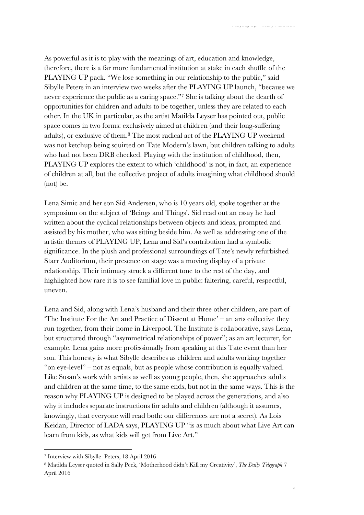As powerful as it is to play with the meanings of art, education and knowledge, therefore, there is a far more fundamental institution at stake in each shuffle of the PLAYING UP pack. "We lose something in our relationship to the public," said Sibylle Peters in an interview two weeks after the PLAYING UP launch, "because we never experience the public as a caring space."7 She is talking about the dearth of opportunities for children and adults to be together, unless they are related to each other. In the UK in particular, as the artist Matilda Leyser has pointed out, public space comes in two forms: exclusively aimed at children (and their long-suffering adults), or exclusive of them.8 The most radical act of the PLAYING UP weekend was not ketchup being squirted on Tate Modern's lawn, but children talking to adults who had not been DRB checked. Playing with the institution of childhood, then, PLAYING UP explores the extent to which 'childhood' is not, in fact, an experience of children at all, but the collective project of adults imagining what childhood should (not) be.

Lena Simic and her son Sid Andersen, who is 10 years old, spoke together at the symposium on the subject of 'Beings and Things'. Sid read out an essay he had written about the cyclical relationships between objects and ideas, prompted and assisted by his mother, who was sitting beside him. As well as addressing one of the artistic themes of PLAYING UP, Lena and Sid's contribution had a symbolic significance. In the plush and professional surroundings of Tate's newly refurbished Starr Auditorium, their presence on stage was a moving display of a private relationship. Their intimacy struck a different tone to the rest of the day, and highlighted how rare it is to see familial love in public: faltering, careful, respectful, uneven.

Lena and Sid, along with Lena's husband and their three other children, are part of 'The Institute For the Art and Practice of Dissent at Home' – an arts collective they run together, from their home in Liverpool. The Institute is collaborative, says Lena, but structured through "asymmetrical relationships of power"; as an art lecturer, for example, Lena gains more professionally from speaking at this Tate event than her son. This honesty is what Sibylle describes as children and adults working together "on eye-level" – not as equals, but as people whose contribution is equally valued. Like Susan's work with artists as well as young people, then, she approaches adults and children at the same time, to the same ends, but not in the same ways. This is the reason why PLAYING UP is designed to be played across the generations, and also why it includes separate instructions for adults and children (although it assumes, knowingly, that everyone will read both: our differences are not a secret). As Lois Keidan, Director of LADA says, PLAYING UP "is as much about what Live Art can learn from kids, as what kids will get from Live Art."

<sup>7</sup> Interview with Sibylle Peters, 18 April 2016

<sup>8</sup> Matilda Leyser quoted in Sally Peck, 'Motherhood didn't Kill my Creativity', *The Daily Telegraph* 7 April 2016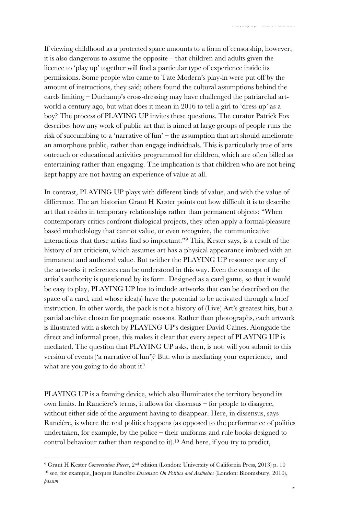If viewing childhood as a protected space amounts to a form of censorship, however, it is also dangerous to assume the opposite – that children and adults given the licence to 'play up' together will find a particular type of experience inside its permissions. Some people who came to Tate Modern's play-in were put off by the amount of instructions, they said; others found the cultural assumptions behind the cards limiting – Duchamp's cross-dressing may have challenged the patriarchal artworld a century ago, but what does it mean in 2016 to tell a girl to 'dress up' as a boy? The process of PLAYING UP invites these questions. The curator Patrick Fox describes how any work of public art that is aimed at large groups of people runs the risk of succumbing to a 'narrative of fun' – the assumption that art should ameliorate an amorphous public, rather than engage individuals. This is particularly true of arts outreach or educational activities programmed for children, which are often billed as entertaining rather than engaging. The implication is that children who are not being kept happy are not having an experience of value at all.

In contrast, PLAYING UP plays with different kinds of value, and with the value of difference. The art historian Grant H Kester points out how difficult it is to describe art that resides in temporary relationships rather than permanent objects: "When contemporary critics confront dialogical projects, they often apply a formal-pleasure based methodology that cannot value, or even recognize, the communicative interactions that these artists find so important."9 This, Kester says, is a result of the history of art criticism, which assumes art has a physical appearance imbued with an immanent and authored value. But neither the PLAYING UP resource nor any of the artworks it references can be understood in this way. Even the concept of the artist's authority is questioned by its form. Designed as a card game, so that it would be easy to play, PLAYING UP has to include artworks that can be described on the space of a card, and whose idea(s) have the potential to be activated through a brief instruction. In other words, the pack is not a history of (Live) Art's greatest hits, but a partial archive chosen for pragmatic reasons. Rather than photographs, each artwork is illustrated with a sketch by PLAYING UP's designer David Caines. Alongside the direct and informal prose, this makes it clear that every aspect of PLAYING UP is mediated. The question that PLAYING UP asks, then, is not: will you submit to this version of events ('a narrative of fun')? But: who is mediating your experience, and what are you going to do about it?

PLAYING UP is a framing device, which also illuminates the territory beyond its own limits. In Ranciére's terms, it allows for dissensus – for people to disagree, without either side of the argument having to disappear. Here, in dissensus, says Ranciére, is where the real politics happens (as opposed to the performance of politics undertaken, for example, by the police – their uniforms and rule books designed to control behaviour rather than respond to it). <sup>10</sup> And here, if you try to predict,

<sup>9</sup> Grant H Kester *Conversation Pieces*, 2nd edition (London: University of California Press, 2013) p. 10 <sup>10</sup> see, for example, Jacques Ranciére *Dissensus: On Politics and Aesthetics* (London: Bloomsbury, 2010), *passim*